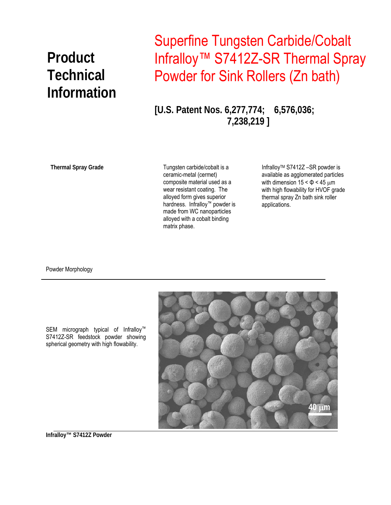## **Product Technical Information**

## Superfine Tungsten Carbide/Cobalt Infralloy™ S7412Z-SR Thermal Spray Powder for Sink Rollers (Zn bath)

**[U.S. Patent Nos. 6,277,774; 6,576,036; 7,238,219 ]** 

**Thermal Spray Grade** 

Tungsten carbide/cobalt is a ceramic-metal (cermet) composite material used as a wear resistant coating. The alloyed form gives superior hardness. Infralloy™ powder is made from WC nanoparticles alloyed with a cobalt binding matrix phase.

InfralloyTM S7412Z –SR powder is available as agglomerated particles with dimension  $15 < \Phi < 45 \mu m$ with high flowability for HVOF grade thermal spray Zn bath sink roller applications.

Powder Morphology



SEM micrograph typical of Infralloy™ S7412Z-SR feedstock powder showing spherical geometry with high flowability.

**Infralloy™ S7412Z Powder**